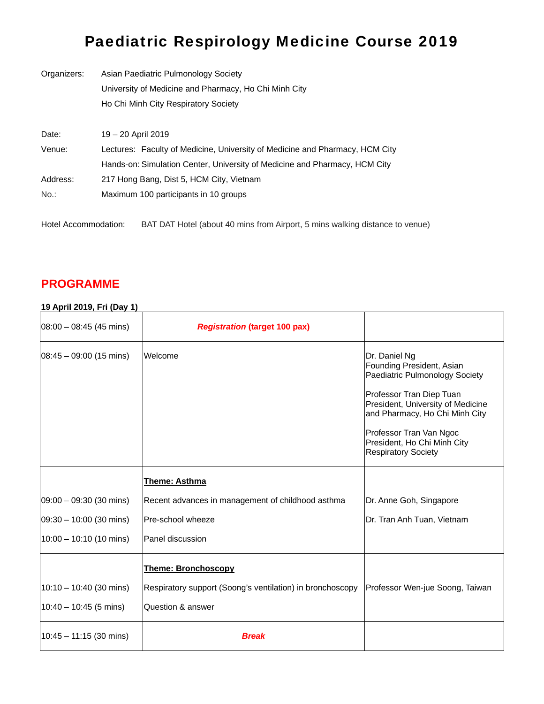## Paediatric Respirology Medicine Course 2019

| Organizers: | Asian Paediatric Pulmonology Society                                         |  |  |
|-------------|------------------------------------------------------------------------------|--|--|
|             | University of Medicine and Pharmacy, Ho Chi Minh City                        |  |  |
|             | Ho Chi Minh City Respiratory Society                                         |  |  |
|             |                                                                              |  |  |
| Date:       | 19 - 20 April 2019                                                           |  |  |
| Venue:      | Lectures: Faculty of Medicine, University of Medicine and Pharmacy, HCM City |  |  |
|             | Hands-on: Simulation Center, University of Medicine and Pharmacy, HCM City   |  |  |
| Address:    | 217 Hong Bang, Dist 5, HCM City, Vietnam                                     |  |  |
| No.:        | Maximum 100 participants in 10 groups                                        |  |  |
|             |                                                                              |  |  |

Hotel Accommodation: BAT DAT Hotel (about 40 mins from Airport, 5 mins walking distance to venue)

## **PROGRAMME**

## **19 April 2019, Fri (Day 1)**

| $08:00 - 08:45$ (45 mins)          | <b>Registration (target 100 pax)</b>                      |                                                                                                                                                                                                                                                                         |
|------------------------------------|-----------------------------------------------------------|-------------------------------------------------------------------------------------------------------------------------------------------------------------------------------------------------------------------------------------------------------------------------|
| $ 08:45 - 09:00(15 \text{ mins}) $ | Welcome                                                   | Dr. Daniel Ng<br>Founding President, Asian<br>Paediatric Pulmonology Society<br>Professor Tran Diep Tuan<br>President, University of Medicine<br>and Pharmacy, Ho Chi Minh City<br>Professor Tran Van Ngoc<br>President, Ho Chi Minh City<br><b>Respiratory Society</b> |
|                                    | <b>Theme: Asthma</b>                                      |                                                                                                                                                                                                                                                                         |
| $ 09:00 - 09:30(30 \text{ mins}) $ | Recent advances in management of childhood asthma         | Dr. Anne Goh, Singapore                                                                                                                                                                                                                                                 |
| $ 09:30 - 10:00 (30 mins) $        | Pre-school wheeze                                         | Dr. Tran Anh Tuan, Vietnam                                                                                                                                                                                                                                              |
| $10:00 - 10:10$ (10 mins)          | Panel discussion                                          |                                                                                                                                                                                                                                                                         |
|                                    | <b>Theme: Bronchoscopy</b>                                |                                                                                                                                                                                                                                                                         |
| 10:10 - 10:40 (30 mins)            | Respiratory support (Soong's ventilation) in bronchoscopy | Professor Wen-jue Soong, Taiwan                                                                                                                                                                                                                                         |
| $10:40 - 10:45$ (5 mins)           | Question & answer                                         |                                                                                                                                                                                                                                                                         |
| 10:45 - 11:15 (30 mins)            | <b>Break</b>                                              |                                                                                                                                                                                                                                                                         |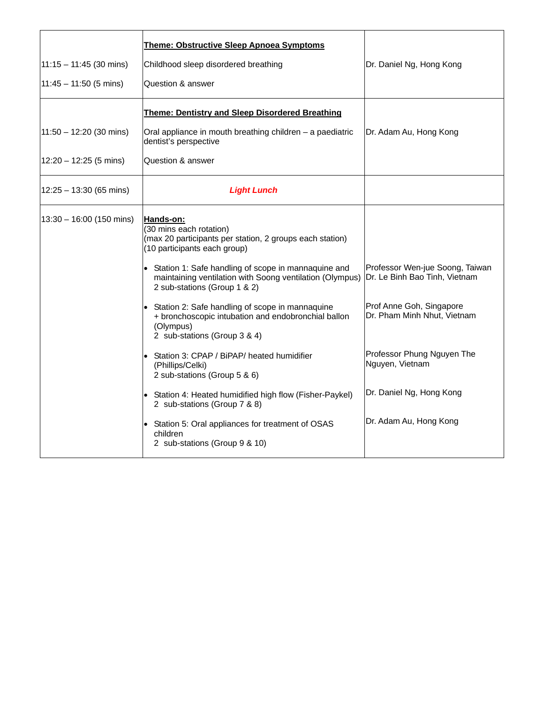|                              | Theme: Obstructive Sleep Apnoea Symptoms                                                                                                                                                                                                                                                                                                                                                                                                                                                                                                                                                                                                                                                                                                    |                                                                                                                                                                                                                                    |
|------------------------------|---------------------------------------------------------------------------------------------------------------------------------------------------------------------------------------------------------------------------------------------------------------------------------------------------------------------------------------------------------------------------------------------------------------------------------------------------------------------------------------------------------------------------------------------------------------------------------------------------------------------------------------------------------------------------------------------------------------------------------------------|------------------------------------------------------------------------------------------------------------------------------------------------------------------------------------------------------------------------------------|
| $11:15 - 11:45$ (30 mins)    | Childhood sleep disordered breathing                                                                                                                                                                                                                                                                                                                                                                                                                                                                                                                                                                                                                                                                                                        | Dr. Daniel Ng, Hong Kong                                                                                                                                                                                                           |
| $11:45 - 11:50$ (5 mins)     | Question & answer                                                                                                                                                                                                                                                                                                                                                                                                                                                                                                                                                                                                                                                                                                                           |                                                                                                                                                                                                                                    |
|                              | <b>Theme: Dentistry and Sleep Disordered Breathing</b>                                                                                                                                                                                                                                                                                                                                                                                                                                                                                                                                                                                                                                                                                      |                                                                                                                                                                                                                                    |
| 11:50 - 12:20 (30 mins)      | Oral appliance in mouth breathing children - a paediatric<br>dentist's perspective                                                                                                                                                                                                                                                                                                                                                                                                                                                                                                                                                                                                                                                          | Dr. Adam Au, Hong Kong                                                                                                                                                                                                             |
| $12:20 - 12:25$ (5 mins)     | Question & answer                                                                                                                                                                                                                                                                                                                                                                                                                                                                                                                                                                                                                                                                                                                           |                                                                                                                                                                                                                                    |
| $12:25 - 13:30$ (65 mins)    | <b>Light Lunch</b>                                                                                                                                                                                                                                                                                                                                                                                                                                                                                                                                                                                                                                                                                                                          |                                                                                                                                                                                                                                    |
| $(13:30 - 16:00 (150 mins))$ | Hands-on:<br>(30 mins each rotation)<br>(max 20 participants per station, 2 groups each station)<br>(10 participants each group)<br>• Station 1: Safe handling of scope in mannaquine and<br>maintaining ventilation with Soong ventilation (Olympus)<br>2 sub-stations (Group 1 & 2)<br>Station 2: Safe handling of scope in mannaquine<br>+ bronchoscopic intubation and endobronchial ballon<br>(Olympus)<br>2 sub-stations (Group 3 & 4)<br>Station 3: CPAP / BiPAP/ heated humidifier<br>(Phillips/Celki)<br>2 sub-stations (Group 5 & 6)<br>• Station 4: Heated humidified high flow (Fisher-Paykel)<br>2 sub-stations (Group 7 & 8)<br>Station 5: Oral appliances for treatment of OSAS<br>children<br>2 sub-stations (Group 9 & 10) | Professor Wen-jue Soong, Taiwan<br>Dr. Le Binh Bao Tinh, Vietnam<br>Prof Anne Goh, Singapore<br>Dr. Pham Minh Nhut, Vietnam<br>Professor Phung Nguyen The<br>Nguyen, Vietnam<br>Dr. Daniel Ng, Hong Kong<br>Dr. Adam Au, Hong Kong |